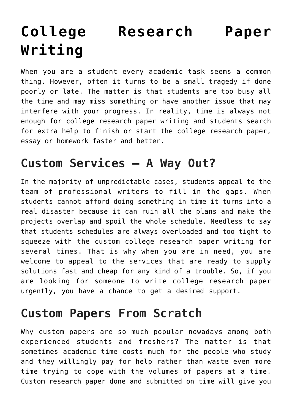## **[College Research Paper](https://writecollegepapers.com/research) [Writing](https://writecollegepapers.com/research)**

When you are a student every academic task seems a common thing. However, often it turns to be a small tragedy if done poorly or late. The matter is that students are too busy all the time and may miss something or have another issue that may interfere with your progress. In reality, time is always not enough for college research paper writing and students search for extra help to finish or start the college research paper, essay or homework faster and better.

## **Custom Services – A Way Out?**

In the majority of unpredictable cases, students appeal to the team of professional writers to fill in the gaps. When students cannot afford doing something in time it turns into a real disaster because it can ruin all the plans and make the projects overlap and spoil the whole schedule. Needless to say that students schedules are always overloaded and too tight to squeeze with the custom college research paper writing for several times. That is why when you are in need, you are welcome to appeal to the services that are ready to supply solutions fast and cheap for any kind of a trouble. So, if you are looking for someone to write college research paper urgently, you have a chance to get a desired support.

## **Custom Papers From Scratch**

Why custom papers are so much popular nowadays among both experienced students and freshers? The matter is that sometimes academic time costs much for the people who study and they willingly pay for help rather than waste even more time trying to cope with the volumes of papers at a time. Custom research paper done and submitted on time will give you